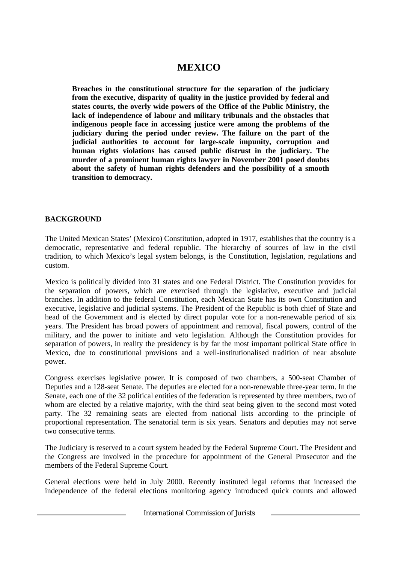# **MEXICO**

**Breaches in the constitutional structure for the separation of the judiciary from the executive, disparity of quality in the justice provided by federal and states courts, the overly wide powers of the Office of the Public Ministry, the lack of independence of labour and military tribunals and the obstacles that indigenous people face in accessing justice were among the problems of the judiciary during the period under review. The failure on the part of the judicial authorities to account for large-scale impunity, corruption and human rights violations has caused public distrust in the judiciary. The murder of a prominent human rights lawyer in November 2001 posed doubts about the safety of human rights defenders and the possibility of a smooth transition to democracy.**

## **BACKGROUND**

The United Mexican States' (Mexico) Constitution, adopted in 1917, establishes that the country is a democratic, representative and federal republic. The hierarchy of sources of law in the civil tradition, to which Mexico's legal system belongs, is the Constitution, legislation, regulations and custom.

Mexico is politically divided into 31 states and one Federal District. The Constitution provides for the separation of powers, which are exercised through the legislative, executive and judicial branches. In addition to the federal Constitution, each Mexican State has its own Constitution and executive, legislative and judicial systems. The President of the Republic is both chief of State and head of the Government and is elected by direct popular vote for a non-renewable period of six years. The President has broad powers of appointment and removal, fiscal powers, control of the military, and the power to initiate and veto legislation. Although the Constitution provides for separation of powers, in reality the presidency is by far the most important political State office in Mexico, due to constitutional provisions and a well-institutionalised tradition of near absolute power.

Congress exercises legislative power. It is composed of two chambers, a 500-seat Chamber of Deputies and a 128-seat Senate. The deputies are elected for a non-renewable three-year term. In the Senate, each one of the 32 political entities of the federation is represented by three members, two of whom are elected by a relative majority, with the third seat being given to the second most voted party. The 32 remaining seats are elected from national lists according to the principle of proportional representation. The senatorial term is six years. Senators and deputies may not serve two consecutive terms.

The Judiciary is reserved to a court system headed by the Federal Supreme Court. The President and the Congress are involved in the procedure for appointment of the General Prosecutor and the members of the Federal Supreme Court.

General elections were held in July 2000. Recently instituted legal reforms that increased the independence of the federal elections monitoring agency introduced quick counts and allowed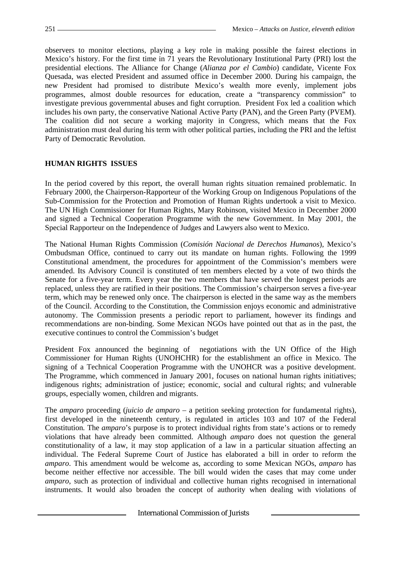observers to monitor elections, playing a key role in making possible the fairest elections in Mexico's history. For the first time in 71 years the Revolutionary Institutional Party (PRI) lost the presidential elections. The Alliance for Change (*Alianza por el Cambio*) candidate, Vicente Fox Quesada, was elected President and assumed office in December 2000. During his campaign, the new President had promised to distribute Mexico's wealth more evenly, implement jobs programmes, almost double resources for education, create a "transparency commission" to investigate previous governmental abuses and fight corruption. President Fox led a coalition which includes his own party, the conservative National Active Party (PAN), and the Green Party (PVEM). The coalition did not secure a working majority in Congress, which means that the Fox administration must deal during his term with other political parties, including the PRI and the leftist Party of Democratic Revolution.

#### **HUMAN RIGHTS ISSUES**

In the period covered by this report, the overall human rights situation remained problematic. In February 2000, the Chairperson-Rapporteur of the Working Group on Indigenous Populations of the Sub-Commission for the Protection and Promotion of Human Rights undertook a visit to Mexico. The UN High Commissioner for Human Rights, Mary Robinson, visited Mexico in December 2000 and signed a Technical Cooperation Programme with the new Government. In May 2001, the Special Rapporteur on the Independence of Judges and Lawyers also went to Mexico.

The National Human Rights Commission (*Comisión Nacional de Derechos Humanos*), Mexico's Ombudsman Office, continued to carry out its mandate on human rights. Following the 1999 Constitutional amendment, the procedures for appointment of the Commission's members were amended. Its Advisory Council is constituted of ten members elected by a vote of two thirds the Senate for a five-year term. Every year the two members that have served the longest periods are replaced, unless they are ratified in their positions. The Commission's chairperson serves a five-year term, which may be renewed only once. The chairperson is elected in the same way as the members of the Council. According to the Constitution, the Commission enjoys economic and administrative autonomy. The Commission presents a periodic report to parliament, however its findings and recommendations are non-binding. Some Mexican NGOs have pointed out that as in the past, the executive continues to control the Commission's budget

President Fox announced the beginning of negotiations with the UN Office of the High Commissioner for Human Rights (UNOHCHR) for the establishment an office in Mexico. The signing of a Technical Cooperation Programme with the UNOHCR was a positive development. The Programme, which commenced in January 2001, focuses on national human rights initiatives; indigenous rights; administration of justice; economic, social and cultural rights; and vulnerable groups, especially women, children and migrants.

The *amparo* proceeding (*juicio de amparo –* a petition seeking protection for fundamental rights), first developed in the nineteenth century, is regulated in articles 103 and 107 of the Federal Constitution*.* The *amparo*'s purpose is to protect individual rights from state's actions or to remedy violations that have already been committed. Although *amparo* does not question the general constitutionality of a law, it may stop application of a law in a particular situation affecting an individual. The Federal Supreme Court of Justice has elaborated a bill in order to reform the *amparo*. This amendment would be welcome as, according to some Mexican NGOs, *amparo* has become neither effective nor accessible. The bill would widen the cases that may come under *amparo*, such as protection of individual and collective human rights recognised in international instruments. It would also broaden the concept of authority when dealing with violations of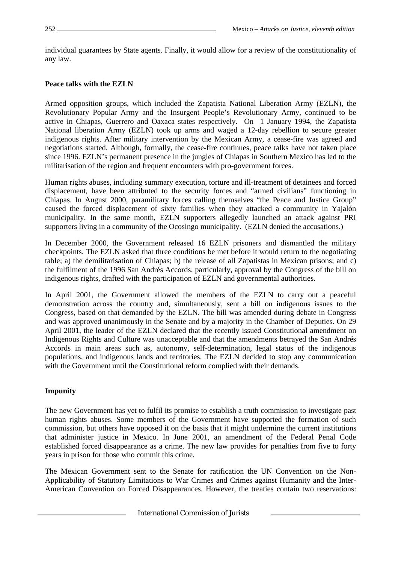individual guarantees by State agents. Finally, it would allow for a review of the constitutionality of any law.

## **Peace talks with the EZLN**

Armed opposition groups, which included the Zapatista National Liberation Army (EZLN), the Revolutionary Popular Army and the Insurgent People's Revolutionary Army, continued to be active in Chiapas, Guerrero and Oaxaca states respectively. On 1 January 1994, the Zapatista National liberation Army (EZLN) took up arms and waged a 12-day rebellion to secure greater indigenous rights. After military intervention by the Mexican Army, a cease-fire was agreed and negotiations started. Although, formally, the cease-fire continues, peace talks have not taken place since 1996. EZLN's permanent presence in the jungles of Chiapas in Southern Mexico has led to the militarisation of the region and frequent encounters with pro-government forces.

Human rights abuses, including summary execution, torture and ill-treatment of detainees and forced displacement, have been attributed to the security forces and "armed civilians" functioning in Chiapas. In August 2000, paramilitary forces calling themselves "the Peace and Justice Group" caused the forced displacement of sixty families when they attacked a community in Yajalón municipality. In the same month, EZLN supporters allegedly launched an attack against PRI supporters living in a community of the Ocosingo municipality. (EZLN denied the accusations.)

In December 2000, the Government released 16 EZLN prisoners and dismantled the military checkpoints. The EZLN asked that three conditions be met before it would return to the negotiating table; a) the demilitarisation of Chiapas; b) the release of all Zapatistas in Mexican prisons; and c) the fulfilment of the 1996 San Andrés Accords, particularly, approval by the Congress of the bill on indigenous rights, drafted with the participation of EZLN and governmental authorities.

In April 2001, the Government allowed the members of the EZLN to carry out a peaceful demonstration across the country and, simultaneously, sent a bill on indigenous issues to the Congress, based on that demanded by the EZLN. The bill was amended during debate in Congress and was approved unanimously in the Senate and by a majority in the Chamber of Deputies. On 29 April 2001, the leader of the EZLN declared that the recently issued Constitutional amendment on Indigenous Rights and Culture was unacceptable and that the amendments betrayed the San Andrés Accords in main areas such as, autonomy, self-determination, legal status of the indigenous populations, and indigenous lands and territories. The EZLN decided to stop any communication with the Government until the Constitutional reform complied with their demands.

#### **Impunity**

The new Government has yet to fulfil its promise to establish a truth commission to investigate past human rights abuses. Some members of the Government have supported the formation of such commission, but others have opposed it on the basis that it might undermine the current institutions that administer justice in Mexico. In June 2001, an amendment of the Federal Penal Code established forced disappearance as a crime. The new law provides for penalties from five to forty years in prison for those who commit this crime.

The Mexican Government sent to the Senate for ratification the UN Convention on the Non-Applicability of Statutory Limitations to War Crimes and Crimes against Humanity and the Inter-American Convention on Forced Disappearances. However, the treaties contain two reservations: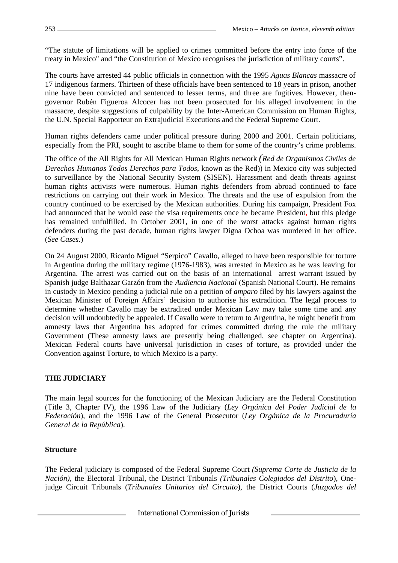"The statute of limitations will be applied to crimes committed before the entry into force of the treaty in Mexico" and "the Constitution of Mexico recognises the jurisdiction of military courts".

The courts have arrested 44 public officials in connection with the 1995 *Aguas Blancas* massacre of 17 indigenous farmers. Thirteen of these officials have been sentenced to 18 years in prison, another nine have been convicted and sentenced to lesser terms, and three are fugitives. However, thengovernor Rubén Figueroa Alcocer has not been prosecuted for his alleged involvement in the massacre, despite suggestions of culpability by the Inter-American Commission on Human Rights, the U.N. Special Rapporteur on Extrajudicial Executions and the Federal Supreme Court.

Human rights defenders came under political pressure during 2000 and 2001. Certain politicians, especially from the PRI, sought to ascribe blame to them for some of the country's crime problems.

The office of the All Rights for All Mexican Human Rights network *(Red de Organismos Civiles de Derechos Humanos Todos Derechos para Todos*, known as the Red)) in Mexico city was subjected to surveillance by the National Security System (SISEN). Harassment and death threats against human rights activists were numerous. Human rights defenders from abroad continued to face restrictions on carrying out their work in Mexico. The threats and the use of expulsion from the country continued to be exercised by the Mexican authorities. During his campaign, President Fox had announced that he would ease the visa requirements once he became President, but this pledge has remained unfulfilled. In October 2001, in one of the worst attacks against human rights defenders during the past decade, human rights lawyer Digna Ochoa was murdered in her office. (*See Cases*.)

On 24 August 2000, Ricardo Miguel "Serpico" Cavallo, alleged to have been responsible for torture in Argentina during the military regime (1976-1983), was arrested in Mexico as he was leaving for Argentina. The arrest was carried out on the basis of an international arrest warrant issued by Spanish judge Balthazar Garzón from the *Audiencia Nacional* (Spanish National Court). He remains in custody in Mexico pending a judicial rule on a petition of *amparo* filed by his lawyers against the Mexican Minister of Foreign Affairs' decision to authorise his extradition. The legal process to determine whether Cavallo may be extradited under Mexican Law may take some time and any decision will undoubtedly be appealed. If Cavallo were to return to Argentina, he might benefit from amnesty laws that Argentina has adopted for crimes committed during the rule the military Government (These amnesty laws are presently being challenged, see chapter on Argentina). Mexican Federal courts have universal jurisdiction in cases of torture, as provided under the Convention against Torture, to which Mexico is a party.

#### **THE JUDICIARY**

The main legal sources for the functioning of the Mexican Judiciary are the Federal Constitution (Title 3, Chapter IV), the 1996 Law of the Judiciary (*Ley Orgánica del Poder Judicial de la Federación*), and the 1996 Law of the General Prosecutor (*Ley Orgánica de la Procuraduría General de la República*).

#### **Structure**

The Federal judiciary is composed of the Federal Supreme Court *(Suprema Corte de Justicia de la Nación)*, the Electoral Tribunal, the District Tribunals *(Tribunales Colegiados del Distrito*), Onejudge Circuit Tribunals (*Tribunales Unitarios del Circuito*), the District Courts (*Juzgados del*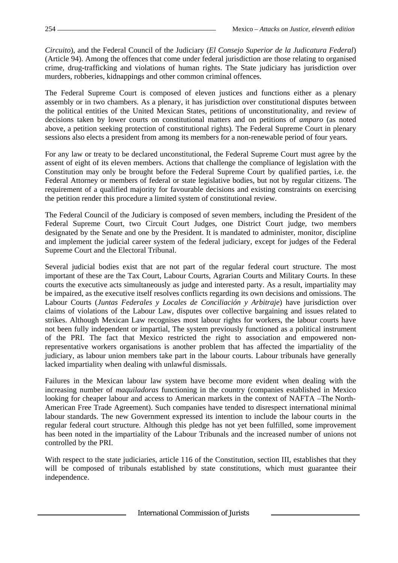*Circuito*), and the Federal Council of the Judiciary (*El Consejo Superior de la Judicatura Federal*) (Article 94). Among the offences that come under federal jurisdiction are those relating to organised crime, drug-trafficking and violations of human rights. The State judiciary has jurisdiction over murders, robberies, kidnappings and other common criminal offences.

The Federal Supreme Court is composed of eleven justices and functions either as a plenary assembly or in two chambers. As a plenary, it has jurisdiction over constitutional disputes between the political entities of the United Mexican States, petitions of unconstitutionality, and review of decisions taken by lower courts on constitutional matters and on petitions of *amparo* (as noted above, a petition seeking protection of constitutional rights)*.* The Federal Supreme Court in plenary sessions also elects a president from among its members for a non-renewable period of four years*.*

For any law or treaty to be declared unconstitutional, the Federal Supreme Court must agree by the assent of eight of its eleven members. Actions that challenge the compliance of legislation with the Constitution may only be brought before the Federal Supreme Court by qualified parties, i.e. the Federal Attorney or members of federal or state legislative bodies, but not by regular citizens. The requirement of a qualified majority for favourable decisions and existing constraints on exercising the petition render this procedure a limited system of constitutional review.

The Federal Council of the Judiciary is composed of seven members, including the President of the Federal Supreme Court, two Circuit Court Judges, one District Court judge, two members designated by the Senate and one by the President. It is mandated to administer, monitor, discipline and implement the judicial career system of the federal judiciary, except for judges of the Federal Supreme Court and the Electoral Tribunal.

Several judicial bodies exist that are not part of the regular federal court structure. The most important of these are the Tax Court, Labour Courts, Agrarian Courts and Military Courts. In these courts the executive acts simultaneously as judge and interested party. As a result, impartiality may be impaired, as the executive itself resolves conflicts regarding its own decisions and omissions. The Labour Courts (*Juntas Federales y Locales de Conciliación y Arbitraje*) have jurisdiction over claims of violations of the Labour Law, disputes over collective bargaining and issues related to strikes. Although Mexican Law recognises most labour rights for workers, the labour courts have not been fully independent or impartial, The system previously functioned as a political instrument of the PRI. The fact that Mexico restricted the right to association and empowered nonrepresentative workers organisations is another problem that has affected the impartiality of the judiciary, as labour union members take part in the labour courts. Labour tribunals have generally lacked impartiality when dealing with unlawful dismissals.

Failures in the Mexican labour law system have become more evident when dealing with the increasing number of *maquiladoras* functioning in the country (companies established in Mexico looking for cheaper labour and access to American markets in the context of NAFTA –The North-American Free Trade Agreement). Such companies have tended to disrespect international minimal labour standards. The new Government expressed its intention to include the labour courts in the regular federal court structure. Although this pledge has not yet been fulfilled, some improvement has been noted in the impartiality of the Labour Tribunals and the increased number of unions not controlled by the PRI.

With respect to the state judiciaries, article 116 of the Constitution, section III, establishes that they will be composed of tribunals established by state constitutions, which must guarantee their independence.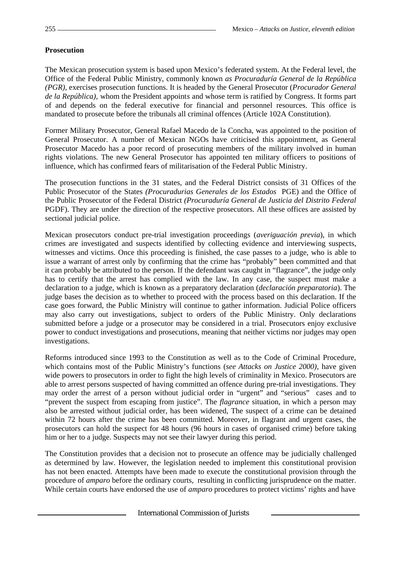## **Prosecution**

The Mexican prosecution system is based upon Mexico's federated system. At the Federal level, the Office of the Federal Public Ministry, commonly known *as Procuraduría General de la República (PGR)*, exercises prosecution functions. It is headed by the General Prosecutor (*Procurador General de la República),* whom the President appoint*s* and whose term is ratified by Congress. It forms part of and depends on the federal executive for financial and personnel resources. This office is mandated to prosecute before the tribunals all criminal offences (Article 102A Constitution).

Former Military Prosecutor, General Rafael Macedo de la Concha, was appointed to the position of General Prosecutor. A number of Mexican NGOs have criticised this appointment, as General Prosecutor Macedo has a poor record of prosecuting members of the military involved in human rights violations. The new General Prosecutor has appointed ten military officers to positions of influence, which has confirmed fears of militarisation of the Federal Public Ministry.

The prosecution functions in the 31 states, and the Federal District consists of 31 Offices of the Public Prosecutor of the States *(Procuradurias Generales de los Estados* PGE) and the Office of the Public Prosecutor of the Federal District *(Procuraduría General de Justicia del Distrito Federal* PGDF). They are under the direction of the respective prosecutors. All these offices are assisted by sectional judicial police.

Mexican prosecutors conduct pre-trial investigation proceedings (*averiguación previa*), in which crimes are investigated and suspects identified by collecting evidence and interviewing suspects, witnesses and victims. Once this proceeding is finished, the case passes to a judge, who is able to issue a warrant of arrest only by confirming that the crime has "probably" been committed and that it can probably be attributed to the person. If the defendant was caught in "flagrance", the judge only has to certify that the arrest has complied with the law. In any case, the suspect must make a declaration to a judge, which is known as a preparatory declaration (*declaración preparatoria*). The judge bases the decision as to whether to proceed with the process based on this declaration. If the case goes forward, the Public Ministry will continue to gather information. Judicial Police officers may also carry out investigations, subject to orders of the Public Ministry. Only declarations submitted before a judge or a prosecutor may be considered in a trial. Prosecutors enjoy exclusive power to conduct investigations and prosecutions, meaning that neither victims nor judges may open investigations.

Reforms introduced since 1993 to the Constitution as well as to the Code of Criminal Procedure, which contains most of the Public Ministry's functions (*see Attacks on Justice 2000)*, have given wide powers to prosecutors in order to fight the high levels of criminality in Mexico. Prosecutors are able to arrest persons suspected of having committed an offence during pre-trial investigations. They may order the arrest of a person without judicial order in "urgent" and "serious" cases and to "prevent the suspect from escaping from justice". The *flagrance* situation, in which a person may also be arrested without judicial order, has been widened, The suspect of a crime can be detained within 72 hours after the crime has been committed. Moreover, in flagrant and urgent cases, the prosecutors can hold the suspect for 48 hours (96 hours in cases of organised crime) before taking him or her to a judge. Suspects may not see their lawyer during this period.

The Constitution provides that a decision not to prosecute an offence may be judicially challenged as determined by law. However, the legislation needed to implement this constitutional provision has not been enacted. Attempts have been made to execute the constitutional provision through the procedure of *amparo* before the ordinary courts, resulting in conflicting jurisprudence on the matter. While certain courts have endorsed the use of *amparo* procedures to protect victims' rights and have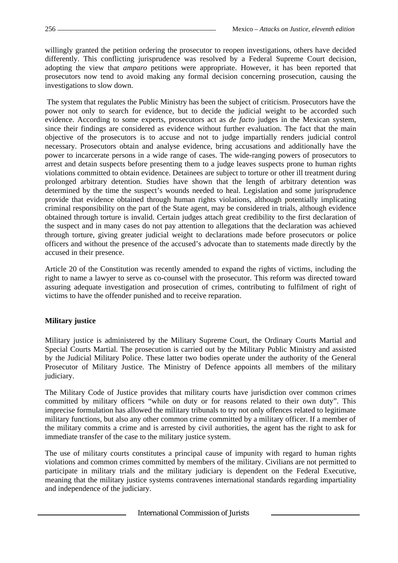willingly granted the petition ordering the prosecutor to reopen investigations, others have decided differently. This conflicting jurisprudence was resolved by a Federal Supreme Court decision, adopting the view that *amparo* petitions were appropriate. However, it has been reported that prosecutors now tend to avoid making any formal decision concerning prosecution, causing the investigations to slow down.

 The system that regulates the Public Ministry has been the subject of criticism. Prosecutors have the power not only to search for evidence, but to decide the judicial weight to be accorded such evidence. According to some experts, prosecutors act as *de facto* judges in the Mexican system, since their findings are considered as evidence without further evaluation. The fact that the main objective of the prosecutors is to accuse and not to judge impartially renders judicial control necessary. Prosecutors obtain and analyse evidence, bring accusations and additionally have the power to incarcerate persons in a wide range of cases. The wide-ranging powers of prosecutors to arrest and detain suspects before presenting them to a judge leaves suspects prone to human rights violations committed to obtain evidence. Detainees are subject to torture or other ill treatment during prolonged arbitrary detention. Studies have shown that the length of arbitrary detention was determined by the time the suspect's wounds needed to heal. Legislation and some jurisprudence provide that evidence obtained through human rights violations, although potentially implicating criminal responsibility on the part of the State agent, may be considered in trials, although evidence obtained through torture is invalid. Certain judges attach great credibility to the first declaration of the suspect and in many cases do not pay attention to allegations that the declaration was achieved through torture, giving greater judicial weight to declarations made before prosecutors or police officers and without the presence of the accused's advocate than to statements made directly by the accused in their presence.

Article 20 of the Constitution was recently amended to expand the rights of victims, including the right to name a lawyer to serve as co-counsel with the prosecutor. This reform was directed toward assuring adequate investigation and prosecution of crimes, contributing to fulfilment of right of victims to have the offender punished and to receive reparation.

## **Military justice**

Military justice is administered by the Military Supreme Court, the Ordinary Courts Martial and Special Courts Martial. The prosecution is carried out by the Military Public Ministry and assisted by the Judicial Military Police. These latter two bodies operate under the authority of the General Prosecutor of Military Justice. The Ministry of Defence appoints all members of the military judiciary.

The Military Code of Justice provides that military courts have jurisdiction over common crimes committed by military officers "while on duty or for reasons related to their own duty". This imprecise formulation has allowed the military tribunals to try not only offences related to legitimate military functions, but also any other common crime committed by a military officer. If a member of the military commits a crime and is arrested by civil authorities, the agent has the right to ask for immediate transfer of the case to the military justice system.

The use of military courts constitutes a principal cause of impunity with regard to human rights violations and common crimes committed by members of the military. Civilians are not permitted to participate in military trials and the military judiciary is dependent on the Federal Executive, meaning that the military justice systems contravenes international standards regarding impartiality and independence of the judiciary.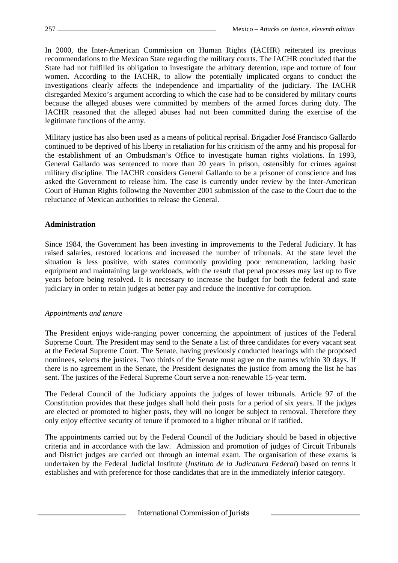In 2000, the Inter-American Commission on Human Rights (IACHR) reiterated its previous recommendations to the Mexican State regarding the military courts. The IACHR concluded that the State had not fulfilled its obligation to investigate the arbitrary detention, rape and torture of four women. According to the IACHR, to allow the potentially implicated organs to conduct the investigations clearly affects the independence and impartiality of the judiciary. The IACHR disregarded Mexico's argument according to which the case had to be considered by military courts because the alleged abuses were committed by members of the armed forces during duty. The IACHR reasoned that the alleged abuses had not been committed during the exercise of the legitimate functions of the army.

Military justice has also been used as a means of political reprisal. Brigadier José Francisco Gallardo continued to be deprived of his liberty in retaliation for his criticism of the army and his proposal for the establishment of an Ombudsman's Office to investigate human rights violations. In 1993, General Gallardo was sentenced to more than 20 years in prison, ostensibly for crimes against military discipline. The IACHR considers General Gallardo to be a prisoner of conscience and has asked the Government to release him. The case is currently under review by the Inter-American Court of Human Rights following the November 2001 submission of the case to the Court due to the reluctance of Mexican authorities to release the General.

#### **Administration**

Since 1984, the Government has been investing in improvements to the Federal Judiciary. It has raised salaries, restored locations and increased the number of tribunals. At the state level the situation is less positive, with states commonly providing poor remuneration, lacking basic equipment and maintaining large workloads, with the result that penal processes may last up to five years before being resolved. It is necessary to increase the budget for both the federal and state judiciary in order to retain judges at better pay and reduce the incentive for corruption.

#### *Appointments and tenure*

The President enjoys wide-ranging power concerning the appointment of justices of the Federal Supreme Court. The President may send to the Senate a list of three candidates for every vacant seat at the Federal Supreme Court. The Senate, having previously conducted hearings with the proposed nominees, selects the justices. Two thirds of the Senate must agree on the names within 30 days. If there is no agreement in the Senate, the President designates the justice from among the list he has sent. The justices of the Federal Supreme Court serve a non-renewable 15-year term.

The Federal Council of the Judiciary appoints the judges of lower tribunals. Article 97 of the Constitution provides that these judges shall hold their posts for a period of six years. If the judges are elected or promoted to higher posts, they will no longer be subject to removal. Therefore they only enjoy effective security of tenure if promoted to a higher tribunal or if ratified.

The appointments carried out by the Federal Council of the Judiciary should be based in objective criteria and in accordance with the law. Admission and promotion of judges of Circuit Tribunals and District judges are carried out through an internal exam. The organisation of these exams is undertaken by the Federal Judicial Institute (*Instituto de la Judicatura Federal*) based on terms it establishes and with preference for those candidates that are in the immediately inferior category.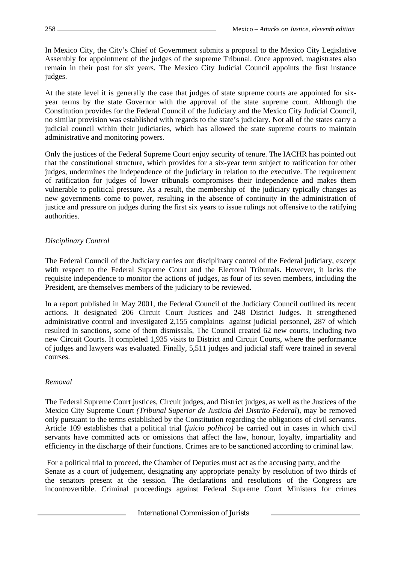In Mexico City, the City's Chief of Government submits a proposal to the Mexico City Legislative Assembly for appointment of the judges of the supreme Tribunal. Once approved, magistrates also remain in their post for six years. The Mexico City Judicial Council appoints the first instance judges.

At the state level it is generally the case that judges of state supreme courts are appointed for sixyear terms by the state Governor with the approval of the state supreme court. Although the Constitution provides for the Federal Council of the Judiciary and the Mexico City Judicial Council, no similar provision was established with regards to the state's judiciary. Not all of the states carry a judicial council within their judiciaries, which has allowed the state supreme courts to maintain administrative and monitoring powers.

Only the justices of the Federal Supreme Court enjoy security of tenure. The IACHR has pointed out that the constitutional structure, which provides for a six-year term subject to ratification for other judges, undermines the independence of the judiciary in relation to the executive. The requirement of ratification for judges of lower tribunals compromises their independence and makes them vulnerable to political pressure. As a result, the membership of the judiciary typically changes as new governments come to power, resulting in the absence of continuity in the administration of justice and pressure on judges during the first six years to issue rulings not offensive to the ratifying authorities.

## *Disciplinary Control*

The Federal Council of the Judiciary carries out disciplinary control of the Federal judiciary, except with respect to the Federal Supreme Court and the Electoral Tribunals. However, it lacks the requisite independence to monitor the actions of judges, as four of its seven members, including the President, are themselves members of the judiciary to be reviewed.

In a report published in May 2001, the Federal Council of the Judiciary Council outlined its recent actions. It designated 206 Circuit Court Justices and 248 District Judges. It strengthened administrative control and investigated 2,155 complaints against judicial personnel, 287 of which resulted in sanctions, some of them dismissals, The Council created 62 new courts, including two new Circuit Courts. It completed 1,935 visits to District and Circuit Courts, where the performance of judges and lawyers was evaluated. Finally, 5,511 judges and judicial staff were trained in several courses.

#### *Removal*

The Federal Supreme Court justices, Circuit judges, and District judges, as well as the Justices of the Mexico City Supreme Court *(Tribunal Superior de Justicia del Distrito Federal*), may be removed only pursuant to the terms established by the Constitution regarding the obligations of civil servants. Article 109 establishes that a political trial (*juicio político)* be carried out in cases in which civil servants have committed acts or omissions that affect the law, honour, loyalty, impartiality and efficiency in the discharge of their functions. Crimes are to be sanctioned according to criminal law.

 For a political trial to proceed, the Chamber of Deputies must act as the accusing party, and the Senate as a court of judgement, designating any appropriate penalty by resolution of two thirds of the senators present at the session. The declarations and resolutions of the Congress are incontrovertible. Criminal proceedings against Federal Supreme Court Ministers for crimes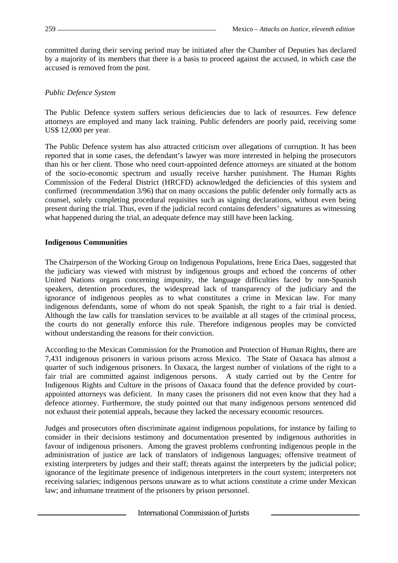committed during their serving period may be initiated after the Chamber of Deputies has declared by a majority of its members that there is a basis to proceed against the accused, in which case the accused is removed from the post.

#### *Public Defence System*

The Public Defence system suffers serious deficiencies due to lack of resources. Few defence attorneys are employed and many lack training. Public defenders are poorly paid, receiving some US\$ 12,000 per year.

The Public Defence system has also attracted criticism over allegations of corruption. It has been reported that in some cases, the defendant's lawyer was more interested in helping the prosecutors than his or her client. Those who need court-appointed defence attorneys are situated at the bottom of the socio-economic spectrum and usually receive harsher punishment. The Human Rights Commission of the Federal District (HRCFD) acknowledged the deficiencies of this system and confirmed (recommendation 3/96) that on many occasions the public defender only formally acts as counsel, solely completing procedural requisites such as signing declarations, without even being present during the trial. Thus, even if the judicial record contains defenders' signatures as witnessing what happened during the trial, an adequate defence may still have been lacking.

#### **Indigenous Communities**

The Chairperson of the Working Group on Indigenous Populations, Irene Erica Daes, suggested that the judiciary was viewed with mistrust by indigenous groups and echoed the concerns of other United Nations organs concerning impunity, the language difficulties faced by non-Spanish speakers, detention procedures, the widespread lack of transparency of the judiciary and the ignorance of indigenous peoples as to what constitutes a crime in Mexican law. For many indigenous defendants, some of whom do not speak Spanish, the right to a fair trial is denied. Although the law calls for translation services to be available at all stages of the criminal process, the courts do not generally enforce this rule. Therefore indigenous peoples may be convicted without understanding the reasons for their conviction.

According to the Mexican Commission for the Promotion and Protection of Human Rights, there are 7,431 indigenous prisoners in various prisons across Mexico. The State of Oaxaca has almost a quarter of such indigenous prisoners. In Oaxaca, the largest number of violations of the right to a fair trial are committed against indigenous persons. A study carried out by the Centre for Indigenous Rights and Culture in the prisons of Oaxaca found that the defence provided by courtappointed attorneys was deficient. In many cases the prisoners did not even know that they had a defence attorney. Furthermore, the study pointed out that many indigenous persons sentenced did not exhaust their potential appeals, because they lacked the necessary economic resources.

Judges and prosecutors often discriminate against indigenous populations, for instance by failing to consider in their decisions testimony and documentation presented by indigenous authorities in favour of indigenous prisoners. Among the gravest problems confronting indigenous people in the administration of justice are lack of translators of indigenous languages; offensive treatment of existing interpreters by judges and their staff; threats against the interpreters by the judicial police; ignorance of the legitimate presence of indigenous interpreters in the court system; interpreters not receiving salaries; indigenous persons unaware as to what actions constitute a crime under Mexican law; and inhumane treatment of the prisoners by prison personnel.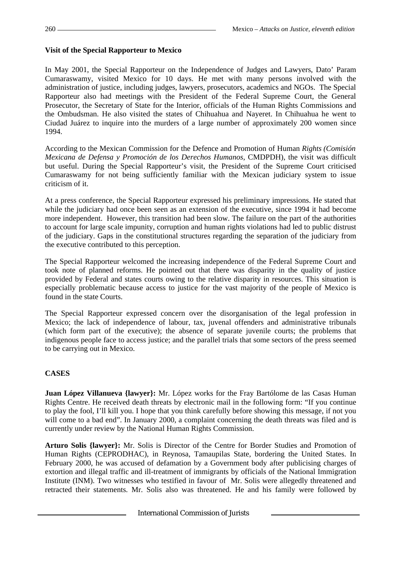## **Visit of the Special Rapporteur to Mexico**

In May 2001, the Special Rapporteur on the Independence of Judges and Lawyers, Dato' Param Cumaraswamy, visited Mexico for 10 days. He met with many persons involved with the administration of justice, including judges, lawyers, prosecutors, academics and NGOs. The Special Rapporteur also had meetings with the President of the Federal Supreme Court, the General Prosecutor, the Secretary of State for the Interior, officials of the Human Rights Commissions and the Ombudsman. He also visited the states of Chihuahua and Nayeret. In Chihuahua he went to Ciudad Juárez to inquire into the murders of a large number of approximately 200 women since 1994.

According to the Mexican Commission for the Defence and Promotion of Human *Rights (Comisión Mexicana de Defensa y Promoción de los Derechos Humanos,* CMDPDH), the visit was difficult but useful. During the Special Rapporteur's visit, the President of the Supreme Court criticised Cumaraswamy for not being sufficiently familiar with the Mexican judiciary system to issue criticism of it.

At a press conference, the Special Rapporteur expressed his preliminary impressions. He stated that while the judiciary had once been seen as an extension of the executive, since 1994 it had become more independent. However, this transition had been slow. The failure on the part of the authorities to account for large scale impunity, corruption and human rights violations had led to public distrust of the judiciary. Gaps in the constitutional structures regarding the separation of the judiciary from the executive contributed to this perception.

The Special Rapporteur welcomed the increasing independence of the Federal Supreme Court and took note of planned reforms. He pointed out that there was disparity in the quality of justice provided by Federal and states courts owing to the relative disparity in resources. This situation is especially problematic because access to justice for the vast majority of the people of Mexico is found in the state Courts.

The Special Rapporteur expressed concern over the disorganisation of the legal profession in Mexico; the lack of independence of labour, tax, juvenal offenders and administrative tribunals (which form part of the executive); the absence of separate juvenile courts; the problems that indigenous people face to access justice; and the parallel trials that some sectors of the press seemed to be carrying out in Mexico.

## **CASES**

**Juan López Villanueva {lawyer}:** Mr. López works for the Fray Bartólome de las Casas Human Rights Centre. He received death threats by electronic mail in the following form: "If you continue to play the fool, I'll kill you. I hope that you think carefully before showing this message, if not you will come to a bad end". In January 2000, a complaint concerning the death threats was filed and is currently under review by the National Human Rights Commission.

**Arturo Solis {lawyer}:** Mr. Solis is Director of the Centre for Border Studies and Promotion of Human Rights (CEPRODHAC), in Reynosa, Tamaupilas State, bordering the United States. In February 2000, he was accused of defamation by a Government body after publicising charges of extortion and illegal traffic and ill-treatment of immigrants by officials of the National Immigration Institute (INM). Two witnesses who testified in favour of Mr. Solis were allegedly threatened and retracted their statements. Mr. Solis also was threatened. He and his family were followed by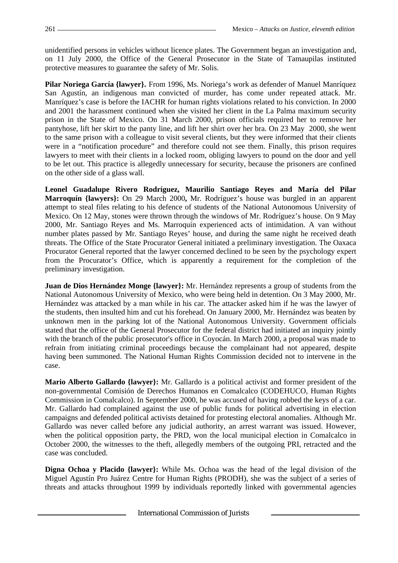unidentified persons in vehicles without licence plates. The Government began an investigation and, on 11 July 2000, the Office of the General Prosecutor in the State of Tamaupilas instituted protective measures to guarantee the safety of Mr. Solis.

**Pilar Noriega García {lawyer}.** From 1996, Ms. Noriega's work as defender of Manuel Manríquez San Agustín, an indigenous man convicted of murder, has come under repeated attack. Mr. Manríquez's case is before the IACHR for human rights violations related to his conviction. In 2000 and 2001 the harassment continued when she visited her client in the La Palma maximum security prison in the State of Mexico. On 31 March 2000, prison officials required her to remove her pantyhose, lift her skirt to the panty line, and lift her shirt over her bra. On 23 May 2000, she went to the same prison with a colleague to visit several clients, but they were informed that their clients were in a "notification procedure" and therefore could not see them. Finally, this prison requires lawyers to meet with their clients in a locked room, obliging lawyers to pound on the door and yell to be let out. This practice is allegedly unnecessary for security, because the prisoners are confined on the other side of a glass wall.

**Leonel Guadalupe Rivero Rodríguez, Maurilio Santiago Reyes and María del Pilar Marroquín {lawyers}:** On 29 March 2000**,** Mr. Rodríguez's house was burgled in an apparent attempt to steal files relating to his defence of students of the National Autonomous University of Mexico. On 12 May, stones were thrown through the windows of Mr. Rodríguez's house. On 9 May 2000, Mr. Santiago Reyes and Ms. Marroquín experienced acts of intimidation. A van without number plates passed by Mr. Santiago Reyes' house, and during the same night he received death threats. The Office of the State Procurator General initiated a preliminary investigation. The Oaxaca Procurator General reported that the lawyer concerned declined to be seen by the psychology expert from the Procurator's Office, which is apparently a requirement for the completion of the preliminary investigation.

**Juan de Dios Hernández Monge {lawyer}:** Mr. Hernández represents a group of students from the National Autonomous University of Mexico, who were being held in detention. On 3 May 2000, Mr. Hernández was attacked by a man while in his car. The attacker asked him if he was the lawyer of the students, then insulted him and cut his forehead. On January 2000, Mr. Hernández was beaten by unknown men in the parking lot of the National Autonomous University. Government officials stated that the office of the General Prosecutor for the federal district had initiated an inquiry jointly with the branch of the public prosecutor's office in Coyocán. In March 2000, a proposal was made to refrain from initiating criminal proceedings because the complainant had not appeared, despite having been summoned. The National Human Rights Commission decided not to intervene in the case.

**Mario Alberto Gallardo {lawyer}:** Mr. Gallardo is a political activist and former president of the non-governmental Comisión de Derechos Humanos en Comalcalco (CODEHUCO, Human Rights Commission in Comalcalco). In September 2000, he was accused of having robbed the keys of a car. Mr. Gallardo had complained against the use of public funds for political advertising in election campaigns and defended political activists detained for protesting electoral anomalies. Although Mr. Gallardo was never called before any judicial authority, an arrest warrant was issued. However, when the political opposition party, the PRD, won the local municipal election in Comalcalco in October 2000, the witnesses to the theft, allegedly members of the outgoing PRI, retracted and the case was concluded.

**Digna Ochoa y Placido {lawyer}:** While Ms. Ochoa was the head of the legal division of the Miguel Agustín Pro Juárez Centre for Human Rights (PRODH), she was the subject of a series of threats and attacks throughout 1999 by individuals reportedly linked with governmental agencies